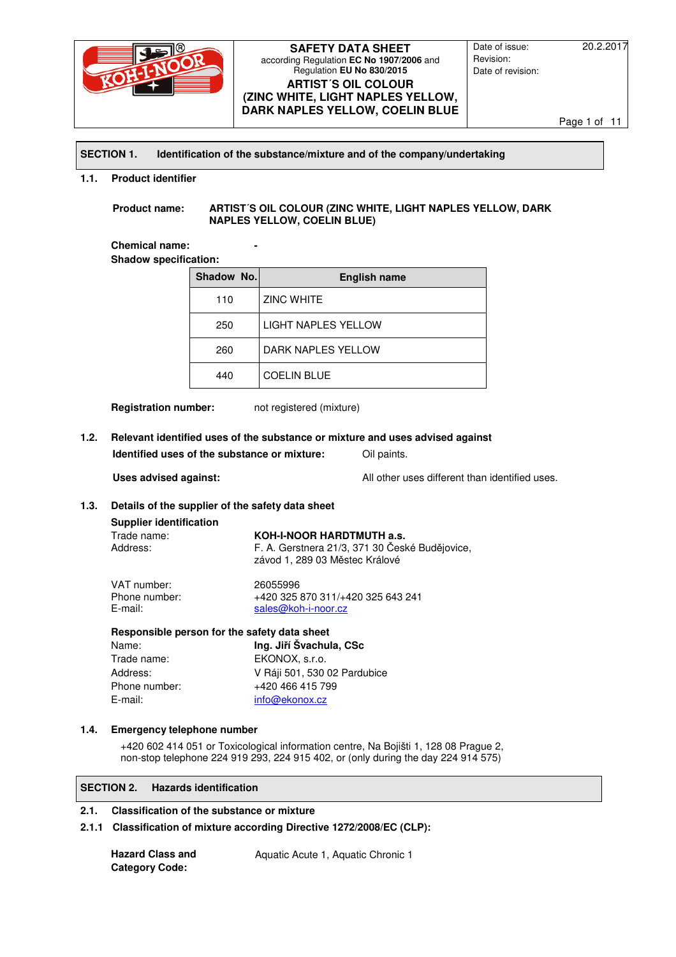

Date of issue: 20.2.2017 Revision: Date of revision:

Page 1 of 11

#### **SECTION 1. Identification of the substance/mixture and of the company/undertaking**

#### **1.1. Product identifier**

**Product name: ARTIST´S OIL COLOUR (ZINC WHITE, LIGHT NAPLES YELLOW, DARK NAPLES YELLOW, COELIN BLUE)** 

**Chemical name: Shadow specification:** 

| Shadow No. | <b>English name</b>        |
|------------|----------------------------|
| 110        | <b>ZINC WHITE</b>          |
| 250        | <b>LIGHT NAPLES YELLOW</b> |
| 260        | DARK NAPLES YELLOW         |
| 440        | <b>COELIN BLUE</b>         |

**Registration number:** not registered (mixture)

# **1.2. Relevant identified uses of the substance or mixture and uses advised against Identified uses of the substance or mixture:** Oil paints.

**Uses advised against:** All other uses different than identified uses.

#### **1.3. Details of the supplier of the safety data sheet**

#### **Supplier identification**

| Trade name: | KOH-I-NOOR HARDTMUTH a.s.                      |
|-------------|------------------------------------------------|
| Address:    | F. A. Gerstnera 21/3, 371 30 České Budějovice, |
|             | závod 1. 289 03 Městec Králové                 |

### VAT number: 26055996<br>Phone number: +420 325 +420 325 870 311/+420 325 643 241 E-mail: sales@koh-i-noor.cz

#### **Responsible person for the safety data sheet**

| Name:         | Ing. Jiří Švachula, CSc      |
|---------------|------------------------------|
| Trade name:   | EKONOX, s.r.o.               |
| Address:      | V Ráji 501, 530 02 Pardubice |
| Phone number: | +420 466 415 799             |
| E-mail:       | info@ekonox.cz               |

#### **1.4. Emergency telephone number**

+420 602 414 051 or Toxicological information centre, Na Bojišti 1, 128 08 Prague 2, non-stop telephone 224 919 293, 224 915 402, or (only during the day 224 914 575)

#### **SECTION 2. Hazards identification**

#### **2.1. Classification of the substance or mixture**

# **2.1.1 Classification of mixture according Directive 1272/2008/EC (CLP):**

**Hazard Class and Category Code:**

Aquatic Acute 1, Aquatic Chronic 1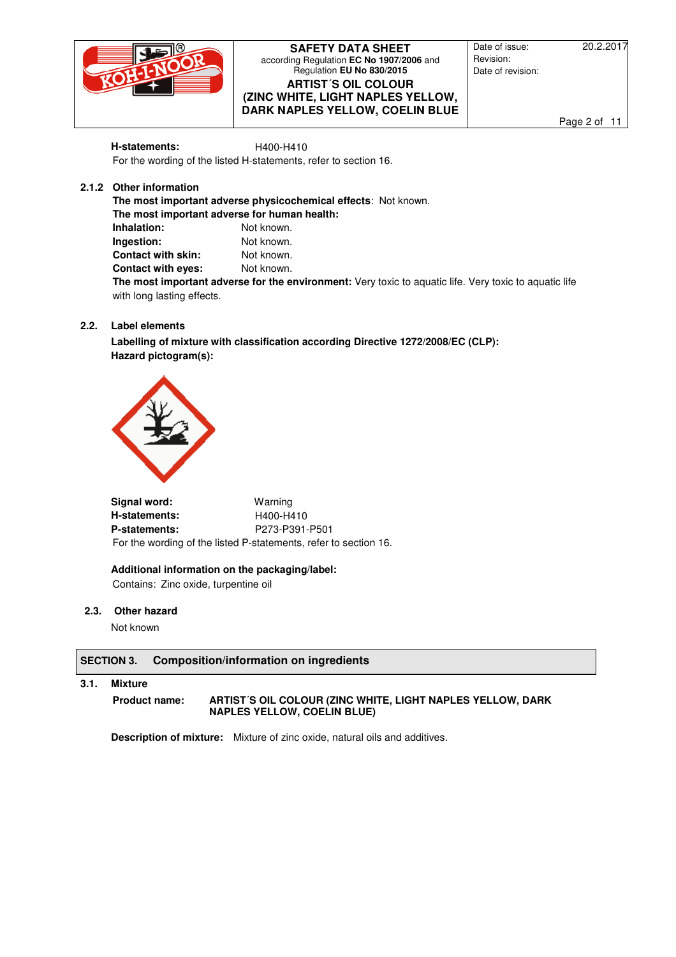

Date of issue: 20.2.2017 Revision: Date of revision:

Page 2 of 11

**H-statements: H400-H410** For the wording of the listed H-statements, refer to section 16.

# **2.1.2 Other information**

**The most important adverse physicochemical effects**: Not known. **The most important adverse for human health: Inhalation:** Not known. **Ingestion:** Not known. **Contact with skin:** Not known. **Contact with eyes:** Not known. **The most important adverse for the environment:** Very toxic to aquatic life. Very toxic to aquatic life with long lasting effects.

# **2.2. Label elements**

**Labelling of mixture with classification according Directive 1272/2008/EC (CLP): Hazard pictogram(s):** 



**Signal word:** Warning **H-statements:** H400-H410 **P-statements:** P273-P391-P501 For the wording of the listed P-statements, refer to section 16.

**Additional information on the packaging/label:**  Contains: Zinc oxide, turpentine oil

**2.3. Other hazard** 

Not known

# **SECTION 3. Composition/information on ingredients**

**3.1. Mixture**

### **Product name: ARTIST´S OIL COLOUR (ZINC WHITE, LIGHT NAPLES YELLOW, DARK NAPLES YELLOW, COELIN BLUE)**

**Description of mixture:** Mixture of zinc oxide, natural oils and additives.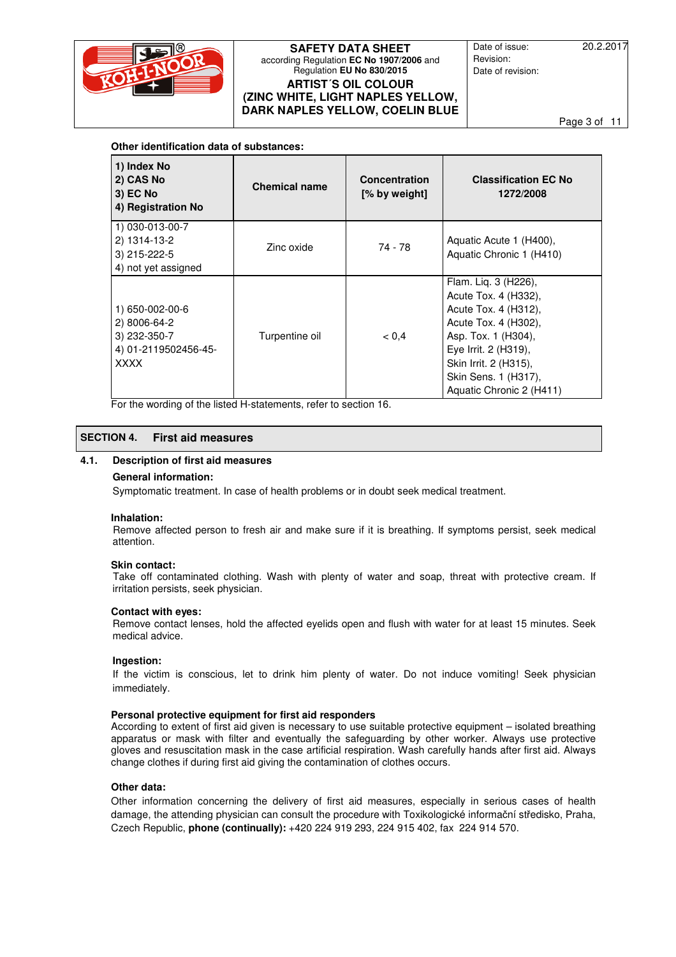

Date of issue: 20.2.2017 Revision: Date of revision:

Page 3 of 11

#### **Other identification data of substances:**

| 1) Index No<br>2) CAS No<br><b>3) EC No</b><br>4) Registration No                      | <b>Chemical name</b> | <b>Concentration</b><br>[% by weight] | <b>Classification EC No</b><br>1272/2008                                                                                                                                                                                 |
|----------------------------------------------------------------------------------------|----------------------|---------------------------------------|--------------------------------------------------------------------------------------------------------------------------------------------------------------------------------------------------------------------------|
| 1) 030-013-00-7<br>2) 1314-13-2<br>3) 215-222-5<br>4) not yet assigned                 | Zinc oxide           | 74 - 78                               | Aquatic Acute 1 (H400),<br>Aquatic Chronic 1 (H410)                                                                                                                                                                      |
| 1) 650-002-00-6<br>2) 8006-64-2<br>3) 232-350-7<br>4) 01-2119502456-45-<br><b>XXXX</b> | Turpentine oil       | < 0.4                                 | Flam. Liq. 3 (H226),<br>Acute Tox. 4 (H332),<br>Acute Tox. 4 (H312),<br>Acute Tox. 4 (H302),<br>Asp. Tox. 1 (H304),<br>Eye Irrit. 2 (H319),<br>Skin Irrit. 2 (H315),<br>Skin Sens. 1 (H317),<br>Aquatic Chronic 2 (H411) |

For the wording of the listed H-statements, refer to section 16.

# **SECTION 4. First aid measures**

#### **4.1. Description of first aid measures**

#### **General information:**

Symptomatic treatment. In case of health problems or in doubt seek medical treatment.

#### **Inhalation:**

Remove affected person to fresh air and make sure if it is breathing. If symptoms persist, seek medical attention.

#### **Skin contact:**

Take off contaminated clothing. Wash with plenty of water and soap, threat with protective cream. If irritation persists, seek physician.

#### **Contact with eyes:**

Remove contact lenses, hold the affected eyelids open and flush with water for at least 15 minutes. Seek medical advice.

#### **Ingestion:**

If the victim is conscious, let to drink him plenty of water. Do not induce vomiting! Seek physician immediately.

#### **Personal protective equipment for first aid responders**

According to extent of first aid given is necessary to use suitable protective equipment – isolated breathing apparatus or mask with filter and eventually the safeguarding by other worker. Always use protective gloves and resuscitation mask in the case artificial respiration. Wash carefully hands after first aid. Always change clothes if during first aid giving the contamination of clothes occurs.

### **Other data:**

Other information concerning the delivery of first aid measures, especially in serious cases of health damage, the attending physician can consult the procedure with Toxikologické informační středisko, Praha, Czech Republic, **phone (continually):** +420 224 919 293, 224 915 402, fax 224 914 570.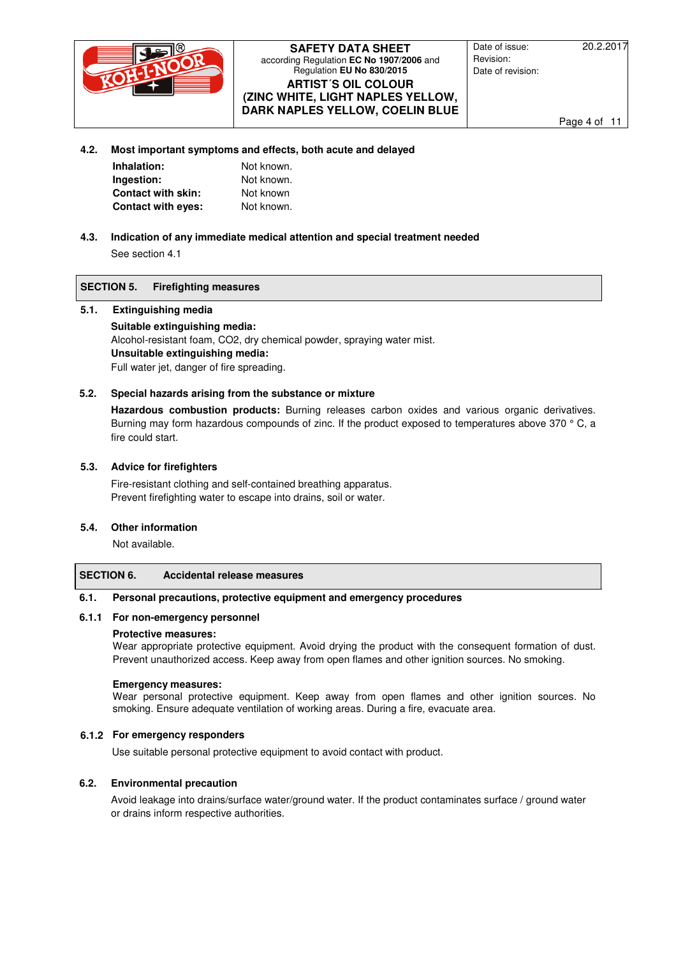

Date of issue: 20.2.2017 Revision: Date of revision:

Page 4 of 11

#### **4.2. Most important symptoms and effects, both acute and delayed**

| Inhalation:               | Not known. |
|---------------------------|------------|
| Ingestion:                | Not known. |
| <b>Contact with skin:</b> | Not known  |
| <b>Contact with eyes:</b> | Not known. |

# **4.3. Indication of any immediate medical attention and special treatment needed**

See section 4.1

### **SECTION 5. Firefighting measures**

### **5.1. Extinguishing media**

**Suitable extinguishing media:**  Alcohol-resistant foam, CO2, dry chemical powder, spraying water mist. **Unsuitable extinguishing media:**  Full water jet, danger of fire spreading.

# **5.2. Special hazards arising from the substance or mixture**

**Hazardous combustion products:** Burning releases carbon oxides and various organic derivatives. Burning may form hazardous compounds of zinc. If the product exposed to temperatures above 370 ° C, a fire could start.

# **5.3. Advice for firefighters**

Fire-resistant clothing and self-contained breathing apparatus. Prevent firefighting water to escape into drains, soil or water.

#### **5.4. Other information**

Not available.

# **SECTION 6. Accidental release measures**

#### **6.1. Personal precautions, protective equipment and emergency procedures**

### **6.1.1 For non-emergency personnel**

#### **Protective measures:**

Wear appropriate protective equipment. Avoid drying the product with the consequent formation of dust. Prevent unauthorized access. Keep away from open flames and other ignition sources. No smoking.

#### **Emergency measures:**

Wear personal protective equipment. Keep away from open flames and other ignition sources. No smoking. Ensure adequate ventilation of working areas. During a fire, evacuate area.

# **6.1.2 For emergency responders**

Use suitable personal protective equipment to avoid contact with product.

# **6.2. Environmental precaution**

Avoid leakage into drains/surface water/ground water. If the product contaminates surface / ground water or drains inform respective authorities.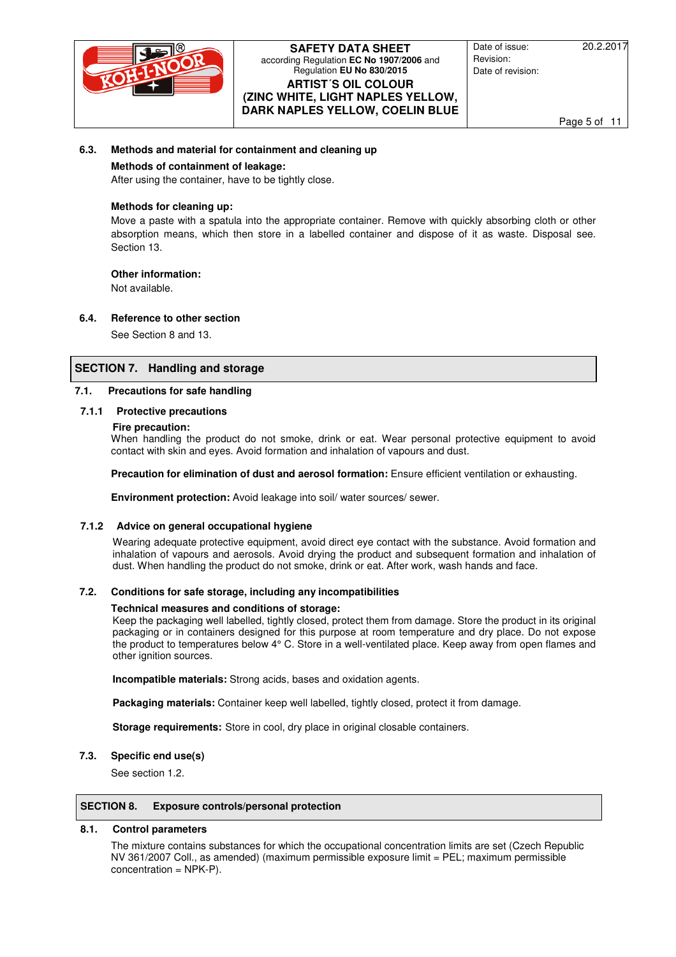

Date of issue: 20.2.2017 Revision: Date of revision:

Page 5 of 11

#### **6.3. Methods and material for containment and cleaning up**

#### **Methods of containment of leakage:**

After using the container, have to be tightly close.

# **Methods for cleaning up:**

Move a paste with a spatula into the appropriate container. Remove with quickly absorbing cloth or other absorption means, which then store in a labelled container and dispose of it as waste. Disposal see. Section 13.

### **Other information:**

Not available.

# **6.4. Reference to other section**

See Section 8 and 13.

# **SECTION 7. Handling and storage**

### **7.1. Precautions for safe handling**

#### **7.1.1 Protective precautions**

#### **Fire precaution:**

When handling the product do not smoke, drink or eat. Wear personal protective equipment to avoid contact with skin and eyes. Avoid formation and inhalation of vapours and dust.

**Precaution for elimination of dust and aerosol formation:** Ensure efficient ventilation or exhausting.

**Environment protection:** Avoid leakage into soil/ water sources/ sewer.

#### **7.1.2 Advice on general occupational hygiene**

Wearing adequate protective equipment, avoid direct eye contact with the substance. Avoid formation and inhalation of vapours and aerosols. Avoid drying the product and subsequent formation and inhalation of dust. When handling the product do not smoke, drink or eat. After work, wash hands and face.

#### **7.2. Conditions for safe storage, including any incompatibilities**

#### **Technical measures and conditions of storage:**

Keep the packaging well labelled, tightly closed, protect them from damage. Store the product in its original packaging or in containers designed for this purpose at room temperature and dry place. Do not expose the product to temperatures below 4° C. Store in a well-ventilated place. Keep away from open flames and other ignition sources.

**Incompatible materials:** Strong acids, bases and oxidation agents.

**Packaging materials:** Container keep well labelled, tightly closed, protect it from damage.

**Storage requirements:** Store in cool, dry place in original closable containers.

#### **7.3. Specific end use(s)**

See section 1.2.

#### **SECTION 8. Exposure controls/personal protection**

#### **8.1. Control parameters**

The mixture contains substances for which the occupational concentration limits are set (Czech Republic NV 361/2007 Coll., as amended) (maximum permissible exposure limit = PEL; maximum permissible concentration = NPK-P).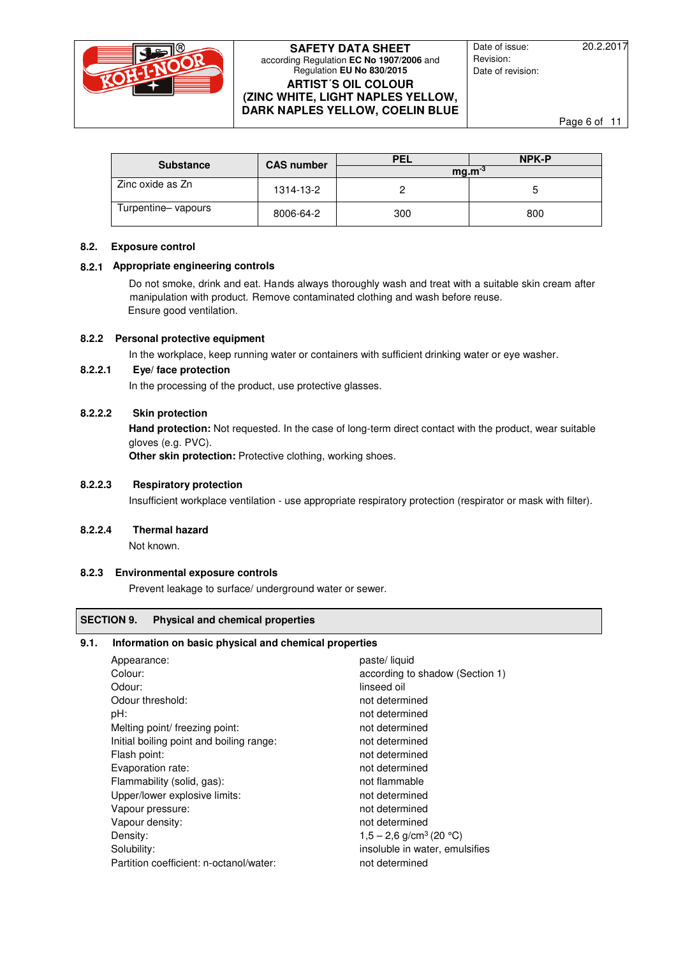

Date of issue: 20.2.2017 Revision: Date of revision:

Page 6 of 11

| <b>Substance</b>   | <b>CAS number</b> | <b>PEL</b> | NPK-P |
|--------------------|-------------------|------------|-------|
|                    |                   | $ma.m-3$   |       |
| Zinc oxide as Zn   | 1314-13-2         |            |       |
| Turpentine-vapours | 8006-64-2         | 300        | 800   |

### **8.2. Exposure control**

### **8.2.1 Appropriate engineering controls**

Do not smoke, drink and eat. Hands always thoroughly wash and treat with a suitable skin cream after manipulation with product. Remove contaminated clothing and wash before reuse. Ensure good ventilation.

# **8.2.2 Personal protective equipment**

In the workplace, keep running water or containers with sufficient drinking water or eye washer.

# **8.2.2.1 Eye/ face protection**

In the processing of the product, use protective glasses.

# **8.2.2.2 Skin protection**

**Hand protection:** Not requested. In the case of long-term direct contact with the product, wear suitable gloves (e.g. PVC).

**Other skin protection:** Protective clothing, working shoes.

#### **8.2.2.3 Respiratory protection**

Insufficient workplace ventilation - use appropriate respiratory protection (respirator or mask with filter).

#### **8.2.2.4 Thermal hazard**

Not known.

# **8.2.3 Environmental exposure controls**

Prevent leakage to surface/ underground water or sewer.

# **SECTION 9. Physical and chemical properties**

### **9.1. Information on basic physical and chemical properties**

| Appearance:                              | paste/liquid                          |
|------------------------------------------|---------------------------------------|
| Colour:                                  | according to shadow (Section 1)       |
| Odour:                                   | linseed oil                           |
| Odour threshold:                         | not determined                        |
| pH:                                      | not determined                        |
| Melting point/ freezing point:           | not determined                        |
| Initial boiling point and boiling range: | not determined                        |
| Flash point:                             | not determined                        |
| Evaporation rate:                        | not determined                        |
| Flammability (solid, gas):               | not flammable                         |
| Upper/lower explosive limits:            | not determined                        |
| Vapour pressure:                         | not determined                        |
| Vapour density:                          | not determined                        |
| Density:                                 | $1,5 - 2,6$ g/cm <sup>3</sup> (20 °C) |
| Solubility:                              | insoluble in water, emulsifies        |
| Partition coefficient: n-octanol/water:  | not determined                        |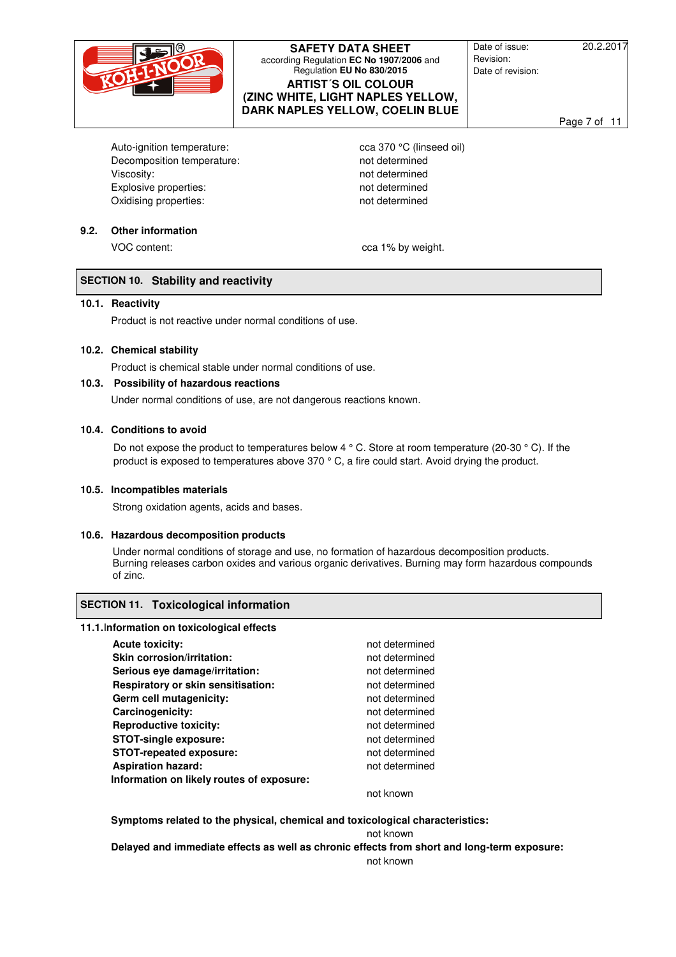

Date of issue: 20.2.2017 Revision: Date of revision:

Page 7 of 11

Auto-ignition temperature: cca 370 °C (linseed oil) Decomposition temperature: not determined Viscosity:  $\blacksquare$ Explosive properties: not determined Oxidising properties: not determined

### **9.2. Other information**

VOC content:  $\begin{array}{ccc} \sim & \sim & \sim & \sim \\ \sim & \sim & \sim & \sim \end{array}$ 

# **SECTION 10. Stability and reactivity**

#### **10.1. Reactivity**

Product is not reactive under normal conditions of use.

#### **10.2. Chemical stability**

Product is chemical stable under normal conditions of use.

#### **10.3. Possibility of hazardous reactions**

Under normal conditions of use, are not dangerous reactions known.

#### **10.4. Conditions to avoid**

Do not expose the product to temperatures below 4 ° C. Store at room temperature (20-30 ° C). If the product is exposed to temperatures above 370 ° C, a fire could start. Avoid drying the product.

#### **10.5. Incompatibles materials**

Strong oxidation agents, acids and bases.

#### **10.6. Hazardous decomposition products**

Under normal conditions of storage and use, no formation of hazardous decomposition products. Burning releases carbon oxides and various organic derivatives. Burning may form hazardous compounds of zinc.

#### **SECTION 11. Toxicological information**

#### **11.1.Information on toxicological effects**

| <b>Acute toxicity:</b>                    | not determined |
|-------------------------------------------|----------------|
| Skin corrosion/irritation:                | not determined |
| Serious eye damage/irritation:            | not determined |
| Respiratory or skin sensitisation:        | not determined |
| Germ cell mutagenicity:                   | not determined |
| Carcinogenicity:                          | not determined |
| <b>Reproductive toxicity:</b>             | not determined |
| <b>STOT-single exposure:</b>              | not determined |
| <b>STOT-repeated exposure:</b>            | not determined |
| <b>Aspiration hazard:</b>                 | not determined |
| Information on likely routes of exposure: |                |
|                                           | not known      |

**Symptoms related to the physical, chemical and toxicological characteristics:** 

not known

**Delayed and immediate effects as well as chronic effects from short and long-term exposure:** 

not known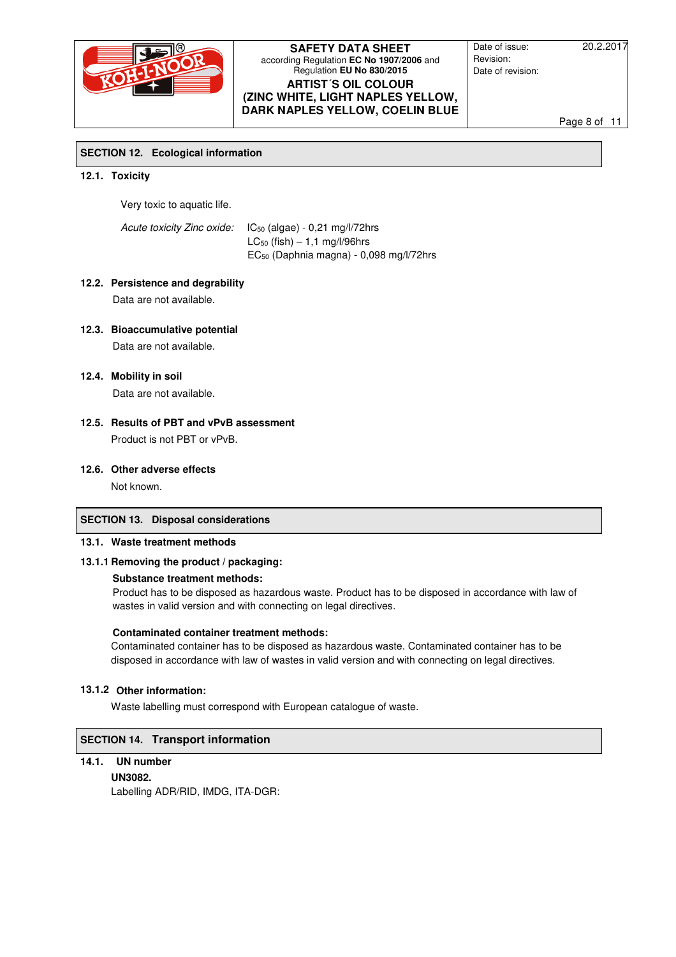

Date of issue: 20.2.2017 Revision: Date of revision:

Page 8 of 11

# **SECTION 12. Ecological information**

### **12.1. Toxicity**

Very toxic to aquatic life.

Acute toxicity Zinc oxide: IC<sub>50</sub> (algae) - 0,21 mg/l/72hrs  $LC_{50}$  (fish)  $-1.1$  mg/l/96hrs EC50 (Daphnia magna) - 0,098 mg/l/72hrs

# **12.2. Persistence and degrability**

Data are not available.

# **12.3. Bioaccumulative potential**

Data are not available.

### **12.4. Mobility in soil**

Data are not available.

# **12.5. Results of PBT and vPvB assessment**  Product is not PBT or vPvB.

### **12.6. Other adverse effects**

Not known.

# **SECTION 13. Disposal considerations**

### **13.1. Waste treatment methods**

# **13.1.1 Removing the product / packaging:**

# **Substance treatment methods:**

Product has to be disposed as hazardous waste. Product has to be disposed in accordance with law of wastes in valid version and with connecting on legal directives.

#### **Contaminated container treatment methods:**

Contaminated container has to be disposed as hazardous waste. Contaminated container has to be disposed in accordance with law of wastes in valid version and with connecting on legal directives.

# **13.1.2 Other information:**

Waste labelling must correspond with European catalogue of waste.

# **SECTION 14. Transport information**

# **14.1. UN number**

 **UN3082.** 

Labelling ADR/RID, IMDG, ITA-DGR: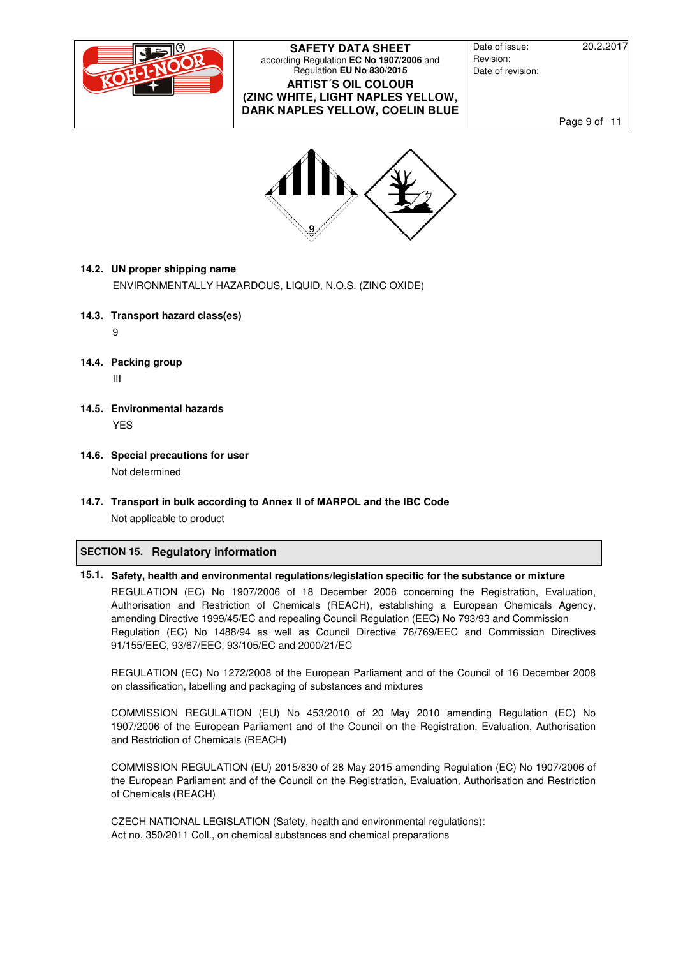

Date of issue: 20.2.2017 Revision: Date of revision:

Page 9 of 11



# **14.2. UN proper shipping name**

ENVIRONMENTALLY HAZARDOUS, LIQUID, N.O.S. (ZINC OXIDE)

**14.3. Transport hazard class(es)** 

9

**14.4. Packing group** 

III

- **14.5. Environmental hazards**  YES
- **14.6. Special precautions for user**  Not determined
- **14.7. Transport in bulk according to Annex II of MARPOL and the IBC Code**  Not applicable to product

# **SECTION 15. Regulatory information**

# **15.1. Safety, health and environmental regulations/legislation specific for the substance or mixture**

REGULATION (EC) No 1907/2006 of 18 December 2006 concerning the Registration, Evaluation, Authorisation and Restriction of Chemicals (REACH), establishing a European Chemicals Agency, amending Directive 1999/45/EC and repealing Council Regulation (EEC) No 793/93 and Commission Regulation (EC) No 1488/94 as well as Council Directive 76/769/EEC and Commission Directives 91/155/EEC, 93/67/EEC, 93/105/EC and 2000/21/EC

REGULATION (EC) No 1272/2008 of the European Parliament and of the Council of 16 December 2008 on classification, labelling and packaging of substances and mixtures

COMMISSION REGULATION (EU) No 453/2010 of 20 May 2010 amending Regulation (EC) No 1907/2006 of the European Parliament and of the Council on the Registration, Evaluation, Authorisation and Restriction of Chemicals (REACH)

COMMISSION REGULATION (EU) 2015/830 of 28 May 2015 amending Regulation (EC) No 1907/2006 of the European Parliament and of the Council on the Registration, Evaluation, Authorisation and Restriction of Chemicals (REACH)

CZECH NATIONAL LEGISLATION (Safety, health and environmental regulations): Act no. 350/2011 Coll., on chemical substances and chemical preparations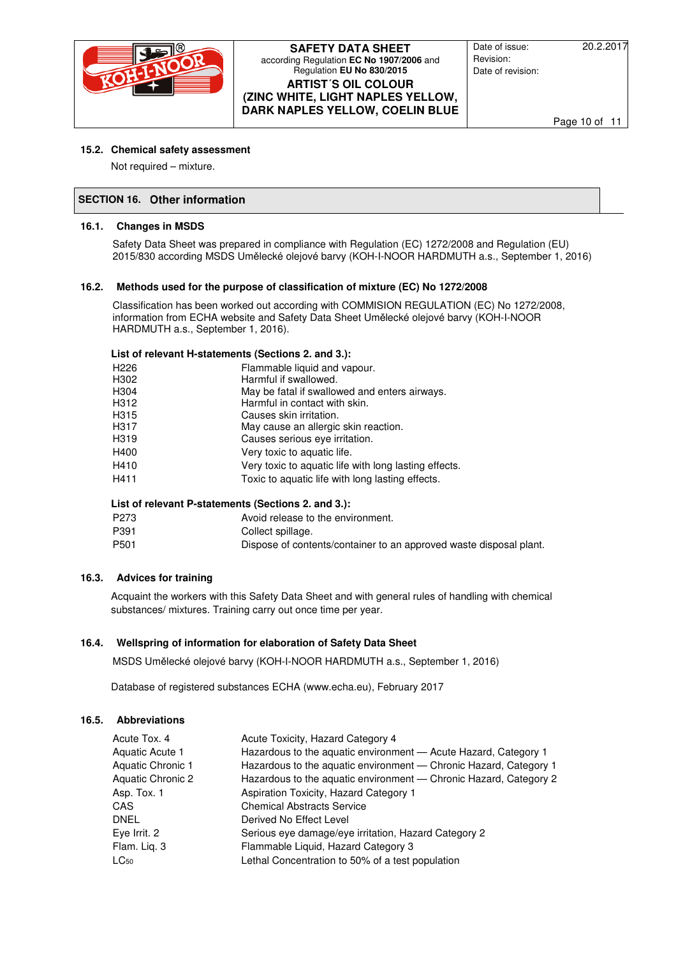

Date of issue: 20.2.2017 Revision: Date of revision:

Page 10 of 11

# **15.2. Chemical safety assessment**

Not required – mixture.

# **SECTION 16. Other information**

# **16.1. Changes in MSDS**

Safety Data Sheet was prepared in compliance with Regulation (EC) 1272/2008 and Regulation (EU) 2015/830 according MSDS Umělecké olejové barvy (KOH-I-NOOR HARDMUTH a.s., September 1, 2016)

# **16.2. Methods used for the purpose of classification of mixture (EC) No 1272/2008**

Classification has been worked out according with COMMISION REGULATION (EC) No 1272/2008, information from ECHA website and Safety Data Sheet Umělecké olejové barvy (KOH-I-NOOR HARDMUTH a.s., September 1, 2016).

# **List of relevant H-statements (Sections 2. and 3.):**

| H226 | Flammable liquid and vapour.                          |
|------|-------------------------------------------------------|
| H302 | Harmful if swallowed.                                 |
| H304 | May be fatal if swallowed and enters airways.         |
| H312 | Harmful in contact with skin.                         |
| H315 | Causes skin irritation.                               |
| H317 | May cause an allergic skin reaction.                  |
| H319 | Causes serious eye irritation.                        |
| H400 | Very toxic to aquatic life.                           |
| H410 | Very toxic to aquatic life with long lasting effects. |
| H411 | Toxic to aquatic life with long lasting effects.      |
|      |                                                       |

# **List of relevant P-statements (Sections 2. and 3.):**

| P273 | Avoid release to the environment. |
|------|-----------------------------------|
| P391 | Collect spillage.                 |

# P501 Dispose of contents/container to an approved waste disposal plant.

# **16.3. Advices for training**

Acquaint the workers with this Safety Data Sheet and with general rules of handling with chemical substances/ mixtures. Training carry out once time per year.

# **16.4. Wellspring of information for elaboration of Safety Data Sheet**

MSDS Umělecké olejové barvy (KOH-I-NOOR HARDMUTH a.s., September 1, 2016)

Database of registered substances ECHA (www.echa.eu), February 2017

# **16.5. Abbreviations**

| Acute Tox, 4<br>Aquatic Acute 1        | Acute Toxicity, Hazard Category 4<br>Hazardous to the aquatic environment - Acute Hazard, Category 1                                   |
|----------------------------------------|----------------------------------------------------------------------------------------------------------------------------------------|
| Aquatic Chronic 1<br>Aquatic Chronic 2 | Hazardous to the aquatic environment - Chronic Hazard, Category 1<br>Hazardous to the aquatic environment - Chronic Hazard, Category 2 |
| Asp. Tox. 1                            | Aspiration Toxicity, Hazard Category 1                                                                                                 |
| CAS                                    | <b>Chemical Abstracts Service</b>                                                                                                      |
| <b>DNEL</b>                            | Derived No Effect Level                                                                                                                |
| Eye Irrit. 2                           | Serious eye damage/eye irritation, Hazard Category 2                                                                                   |
| Flam. Lig. 3<br>$LG_{50}$              | Flammable Liquid, Hazard Category 3<br>Lethal Concentration to 50% of a test population                                                |